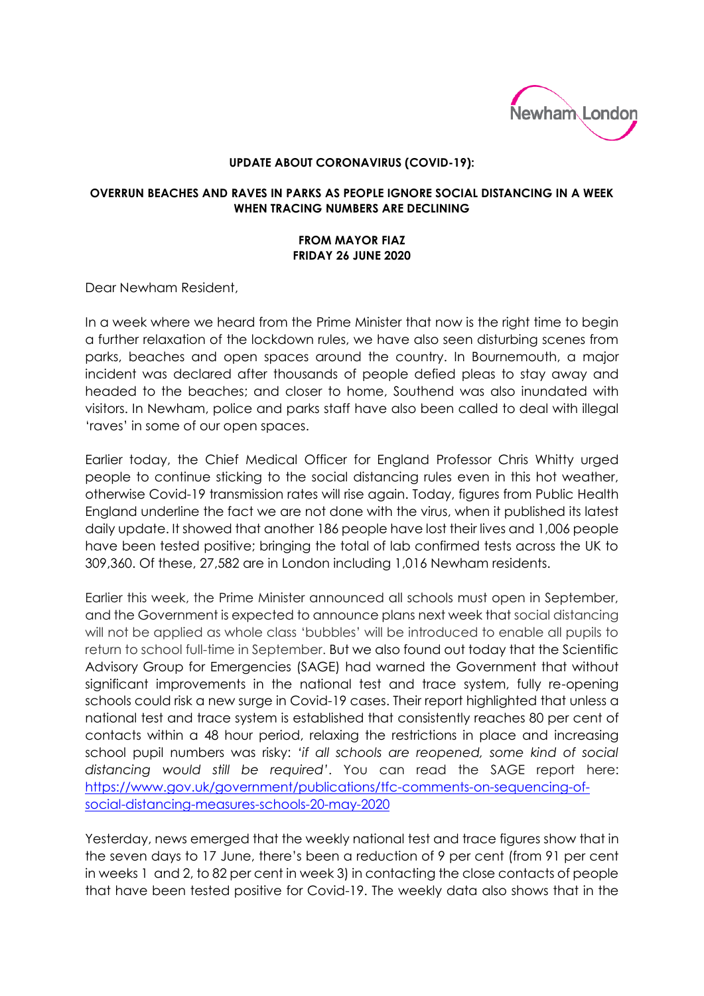

## **UPDATE ABOUT CORONAVIRUS (COVID-19):**

## **OVERRUN BEACHES AND RAVES IN PARKS AS PEOPLE IGNORE SOCIAL DISTANCING IN A WEEK WHEN TRACING NUMBERS ARE DECLINING**

## **FROM MAYOR FIAZ FRIDAY 26 JUNE 2020**

Dear Newham Resident,

In a week where we heard from the Prime Minister that now is the right time to begin a further relaxation of the lockdown rules, we have also seen disturbing scenes from parks, beaches and open spaces around the country. In Bournemouth, a major incident was declared after thousands of people defied pleas to stay away and headed to the beaches; and closer to home, Southend was also inundated with visitors. In Newham, police and parks staff have also been called to deal with illegal 'raves' in some of our open spaces.

Earlier today, the Chief Medical Officer for England Professor Chris Whitty urged people to continue sticking to the social distancing rules even in this hot weather, otherwise Covid-19 transmission rates will rise again. Today, figures from Public Health England underline the fact we are not done with the virus, when it published its latest daily update. It showed that another 186 people have lost their lives and 1,006 people have been tested positive; bringing the total of lab confirmed tests across the UK to 309,360. Of these, 27,582 are in London including 1,016 Newham residents.

Earlier this week, the Prime Minister announced all schools must open in September, and the Government is expected to announce plans next week that social distancing will not be applied as whole class 'bubbles' will be introduced to enable all pupils to return to school full-time in September. But we also found out today that the Scientific Advisory Group for Emergencies (SAGE) had warned the Government that without significant improvements in the national test and trace system, fully re-opening schools could risk a new surge in Covid-19 cases. Their report highlighted that unless a national test and trace system is established that consistently reaches 80 per cent of contacts within a 48 hour period, relaxing the restrictions in place and increasing school pupil numbers was risky: *'if all schools are reopened, some kind of social distancing would still be required'*. You can read the SAGE report here: [https://www.gov.uk/government/publications/tfc-comments-on-sequencing-of](https://www.gov.uk/government/publications/tfc-comments-on-sequencing-of-social-distancing-measures-schools-20-may-2020)[social-distancing-measures-schools-20-may-2020](https://www.gov.uk/government/publications/tfc-comments-on-sequencing-of-social-distancing-measures-schools-20-may-2020)

Yesterday, news emerged that the weekly national test and trace figures show that in the seven days to 17 June, there's been a reduction of 9 per cent (from 91 per cent in weeks 1 and 2, to 82 per cent in week 3) in contacting the close contacts of people that have been tested positive for Covid-19. The weekly data also shows that in the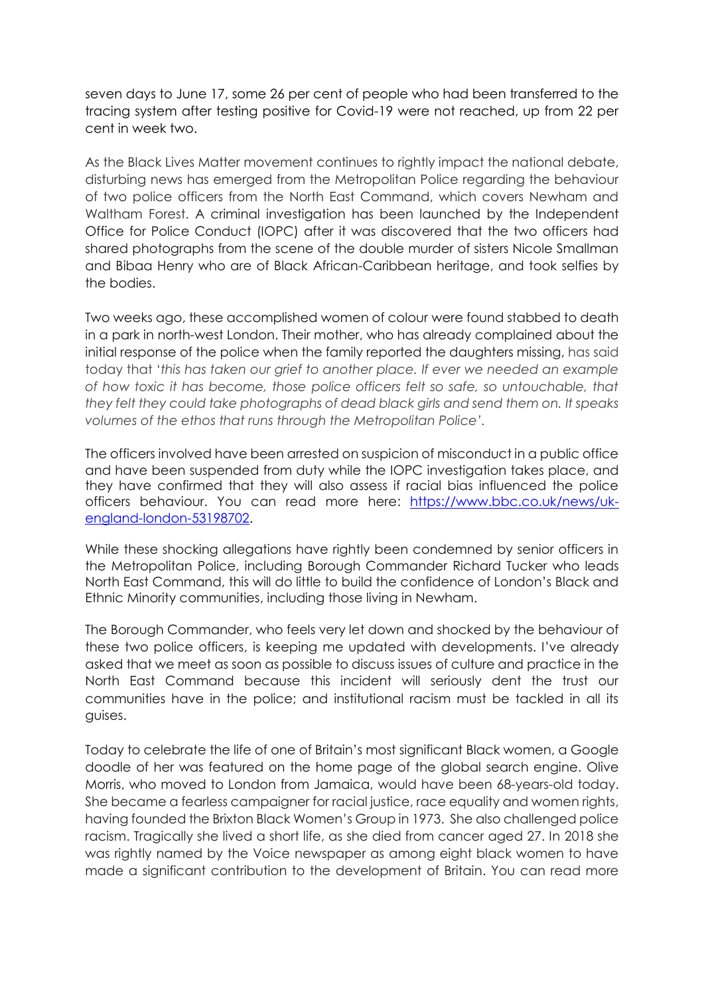seven days to June 17, some 26 per cent of people who had been transferred to the tracing system after testing positive for Covid-19 were not reached, up from 22 per cent in week two.

As the Black Lives Matter movement continues to rightly impact the national debate, disturbing news has emerged from the Metropolitan Police regarding the behaviour of two police officers from the North East Command, which covers Newham and Waltham Forest. A criminal investigation has been launched by the Independent Office for Police Conduct (IOPC) after it was discovered that the two officers had shared photographs from the scene of the double murder of sisters Nicole Smallman and Bibaa Henry who are of Black African-Caribbean heritage, and took selfies by the bodies.

Two weeks ago, these accomplished women of colour were found stabbed to death in a park in north-west London. Their mother, who has already complained about the initial response of the police when the family reported the daughters missing, has said today that '*this has taken our grief to another place. If ever we needed an example of how toxic it has become, those police officers felt so safe, so untouchable, that they felt they could take photographs of dead black girls and send them on. It speaks volumes of the ethos that runs through the Metropolitan Police'.* 

The officers involved have been arrested on suspicion of misconduct in a public office and have been suspended from duty while the IOPC investigation takes place, and they have confirmed that they will also assess if racial bias influenced the police officers behaviour. You can read more here: [https://www.bbc.co.uk/news/uk](https://www.bbc.co.uk/news/uk-england-london-53198702)[england-london-53198702.](https://www.bbc.co.uk/news/uk-england-london-53198702)

While these shocking allegations have rightly been condemned by senior officers in the Metropolitan Police, including Borough Commander Richard Tucker who leads North East Command, this will do little to build the confidence of London's Black and Ethnic Minority communities, including those living in Newham.

The Borough Commander, who feels very let down and shocked by the behaviour of these two police officers, is keeping me updated with developments. I've already asked that we meet as soon as possible to discuss issues of culture and practice in the North East Command because this incident will seriously dent the trust our communities have in the police; and institutional racism must be tackled in all its guises.

Today to celebrate the life of one of Britain's most significant Black women, a Google doodle of her was featured on the home page of the global search engine. Olive Morris, who moved to London from Jamaica, would have been 68-years-old today. She became a fearless campaigner for racial justice, race equality and women rights, having founded the Brixton Black Women's Group in 1973. She also challenged police racism. Tragically she lived a short life, as she died from cancer aged 27. In 2018 she was rightly named by the Voice newspaper as among eight black women to have made a significant contribution to the development of Britain. You can read more